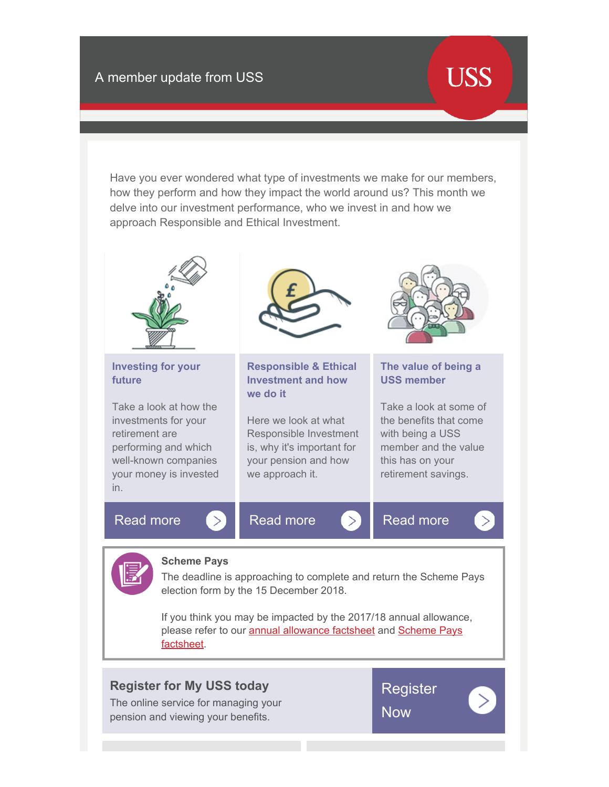## **USS**

Have you ever wondered what type of investments we make for our members, how they perform and how they impact the world around us? This month we delve into our investment performance, who we invest in and how we approach Responsible and Ethical Investment.



## **[Register for My USS today](https://www.uss.co.uk/members/members-home/the-uss-scheme/my-uss)**

The online service for managing your pension and viewing your benefits.

**[Register](https://www.uss.co.uk/members/members-home/the-uss-scheme/my-uss) [Now](https://www.uss.co.uk/members/members-home/the-uss-scheme/my-uss)**